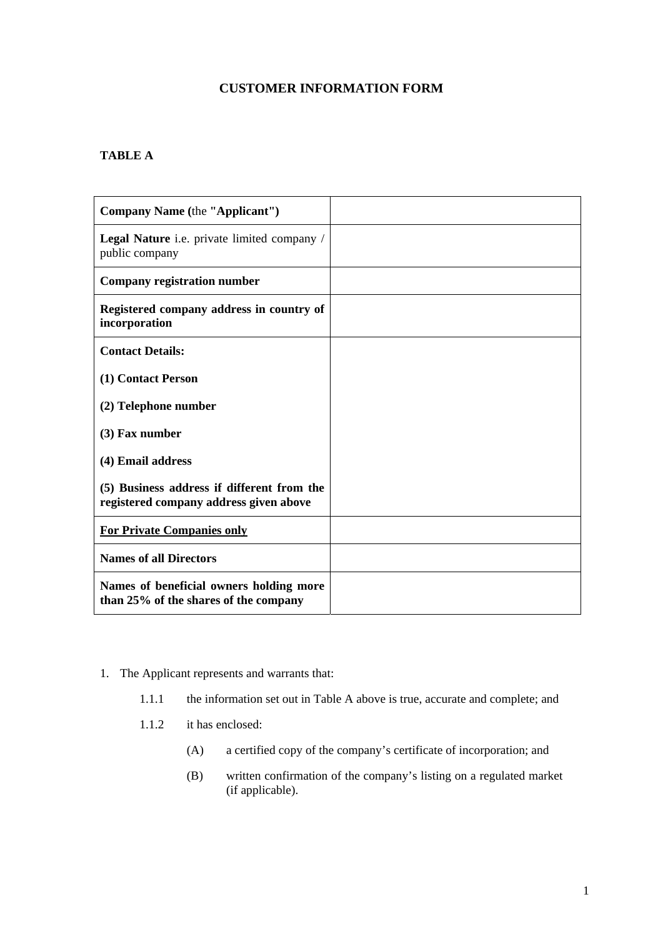## **CUSTOMER INFORMATION FORM**

## **TABLE A**

| Company Name (the "Applicant")                                                       |  |
|--------------------------------------------------------------------------------------|--|
| Legal Nature <i>i.e.</i> private limited company /<br>public company                 |  |
| Company registration number                                                          |  |
| Registered company address in country of<br>incorporation                            |  |
| <b>Contact Details:</b>                                                              |  |
| (1) Contact Person                                                                   |  |
| (2) Telephone number                                                                 |  |
| $(3)$ Fax number                                                                     |  |
| (4) Email address                                                                    |  |
| (5) Business address if different from the<br>registered company address given above |  |
| <b>For Private Companies only</b>                                                    |  |
| <b>Names of all Directors</b>                                                        |  |
| Names of beneficial owners holding more<br>than 25% of the shares of the company     |  |

## 1. The Applicant represents and warrants that:

- 1.1.1 the information set out in Table A above is true, accurate and complete; and
- 1.1.2 it has enclosed:
	- (A) a certified copy of the company's certificate of incorporation; and
	- (B) written confirmation of the company's listing on a regulated market (if applicable).